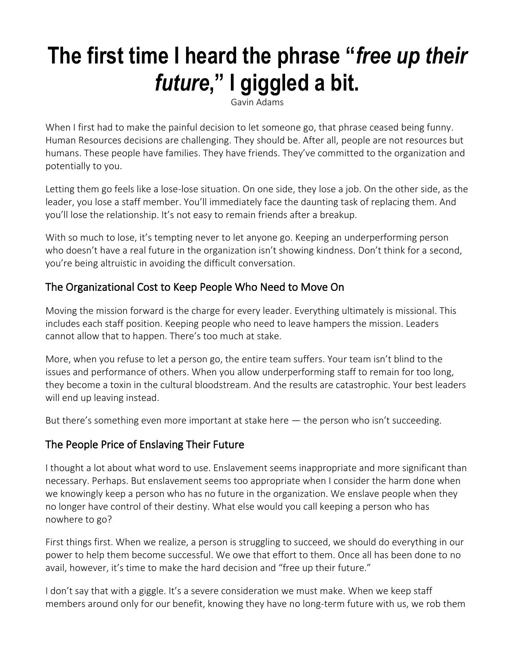# **The first time I heard the phrase "***free up their future***," I giggled a bit.**

Gavin Adams

When I first had to make the painful decision to let someone go, that phrase ceased being funny. Human Resources decisions are challenging. They should be. After all, people are not resources but humans. These people have families. They have friends. They've committed to the organization and potentially to you.

Letting them go feels like a lose-lose situation. On one side, they lose a job. On the other side, as the leader, you lose a staff member. You'll immediately face the daunting task of replacing them. And you'll lose the relationship. It's not easy to remain friends after a breakup.

With so much to lose, it's tempting never to let anyone go. Keeping an underperforming person who doesn't have a real future in the organization isn't showing kindness. Don't think for a second, you're being altruistic in avoiding the difficult conversation.

## The Organizational Cost to Keep People Who Need to Move On

Moving the mission forward is the charge for every leader. Everything ultimately is missional. This includes each staff position. Keeping people who need to leave hampers the mission. Leaders cannot allow that to happen. There's too much at stake.

More, when you refuse to let a person go, the entire team suffers. Your team isn't blind to the issues and performance of others. When you allow underperforming staff to remain for too long, they become a toxin in the cultural bloodstream. And the results are catastrophic. Your best leaders will end up leaving instead.

But there's something even more important at stake here — the person who isn't succeeding.

## The People Price of Enslaving Their Future

I thought a lot about what word to use. Enslavement seems inappropriate and more significant than necessary. Perhaps. But enslavement seems too appropriate when I consider the harm done when we knowingly keep a person who has no future in the organization. We enslave people when they no longer have control of their destiny. What else would you call keeping a person who has nowhere to go?

First things first. When we realize, a person is struggling to succeed, we should do everything in our power to help them become successful. We owe that effort to them. Once all has been done to no avail, however, it's time to make the hard decision and "free up their future."

I don't say that with a giggle. It's a severe consideration we must make. When we keep staff members around only for our benefit, knowing they have no long-term future with us, we rob them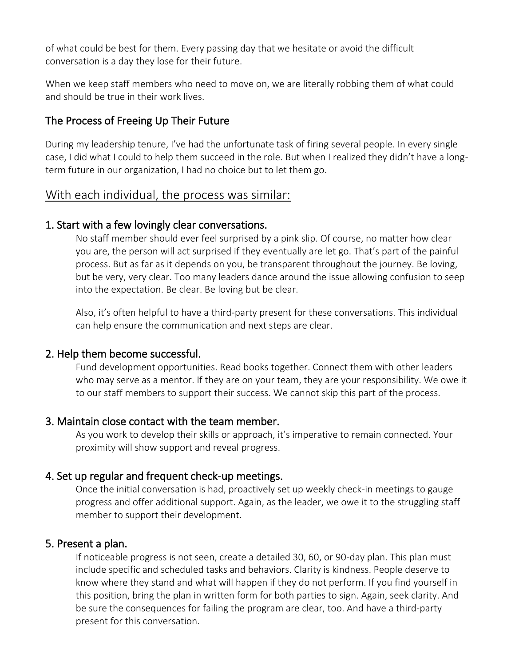of what could be best for them. Every passing day that we hesitate or avoid the difficult conversation is a day they lose for their future.

When we keep staff members who need to move on, we are literally robbing them of what could and should be true in their work lives.

## The Process of Freeing Up Their Future

During my leadership tenure, I've had the unfortunate task of firing several people. In every single case, I did what I could to help them succeed in the role. But when I realized they didn't have a longterm future in our organization, I had no choice but to let them go.

## With each individual, the process was similar:

## 1. Start with a few lovingly clear conversations.

No staff member should ever feel surprised by a pink slip. Of course, no matter how clear you are, the person will act surprised if they eventually are let go. That's part of the painful process. But as far as it depends on you, be transparent throughout the journey. Be loving, but be very, very clear. Too many leaders dance around the issue allowing confusion to seep into the expectation. Be clear. Be loving but be clear.

Also, it's often helpful to have a third-party present for these conversations. This individual can help ensure the communication and next steps are clear.

## 2. Help them become successful.

Fund development opportunities. Read books together. Connect them with other leaders who may serve as a mentor. If they are on your team, they are your responsibility. We owe it to our staff members to support their success. We cannot skip this part of the process.

## 3. Maintain close contact with the team member.

As you work to develop their skills or approach, it's imperative to remain connected. Your proximity will show support and reveal progress.

## 4. Set up regular and frequent check-up meetings.

Once the initial conversation is had, proactively set up weekly check-in meetings to gauge progress and offer additional support. Again, as the leader, we owe it to the struggling staff member to support their development.

## 5. Present a plan.

If noticeable progress is not seen, create a detailed 30, 60, or 90-day plan. This plan must include specific and scheduled tasks and behaviors. Clarity is kindness. People deserve to know where they stand and what will happen if they do not perform. If you find yourself in this position, bring the plan in written form for both parties to sign. Again, seek clarity. And be sure the consequences for failing the program are clear, too. And have a third-party present for this conversation.